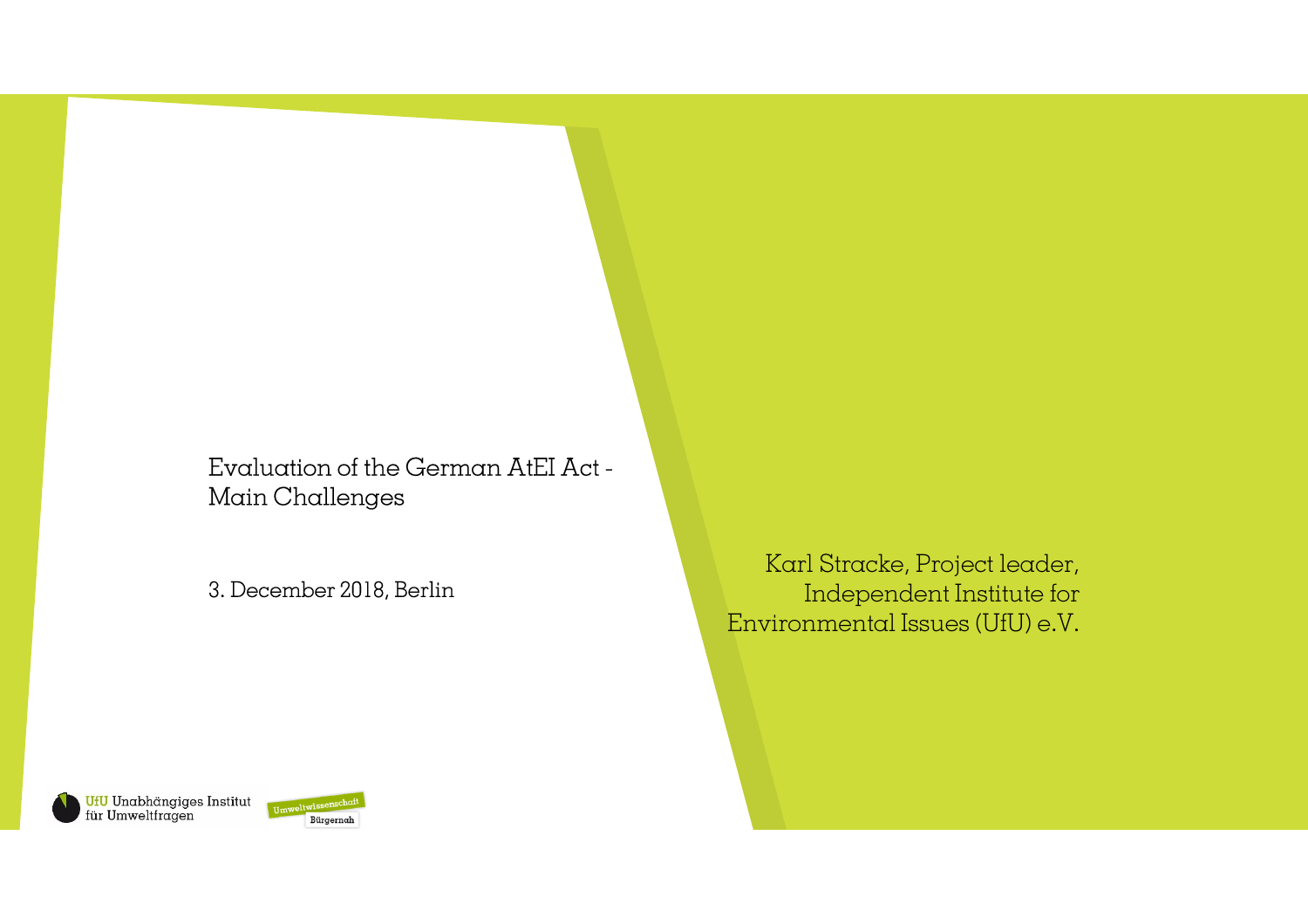Evaluation of the German AtEI Act -Main Challenges

3. December 2018, Berlin

Karl Stracke, Project leader, Independent Institute forEnvironmental Issues (UfU) e.V.

<mark>UfU</mark> Unabhängiges Institut<br>für Umweltfragen **Bürgenschaft** 

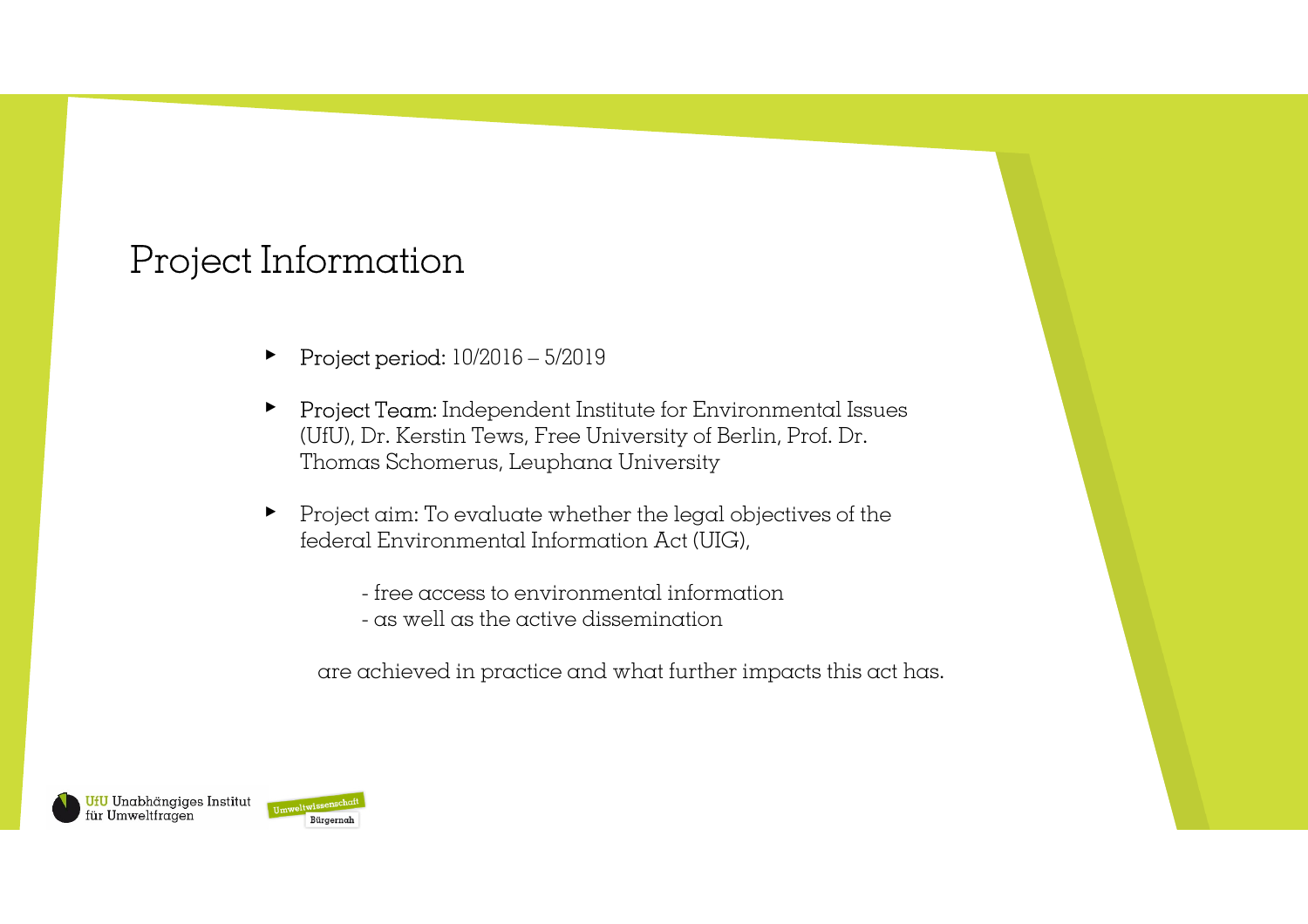## Project Information

- ▸Project period: 10/2016 – 5/2019
- ▸ Project Team: Independent Institute for Environmental Issues (UfU), Dr. Kerstin Tews, Free University of Berlin, Prof. Dr. Thomas Schomerus, Leuphana University
- ▸ Project aim: To evaluate whether the legal objectives of the federal Environmental Information Act (UIG),
	- free access to environmental information
	- as well as the active dissemination

are achieved in practice and what further impacts this act has.

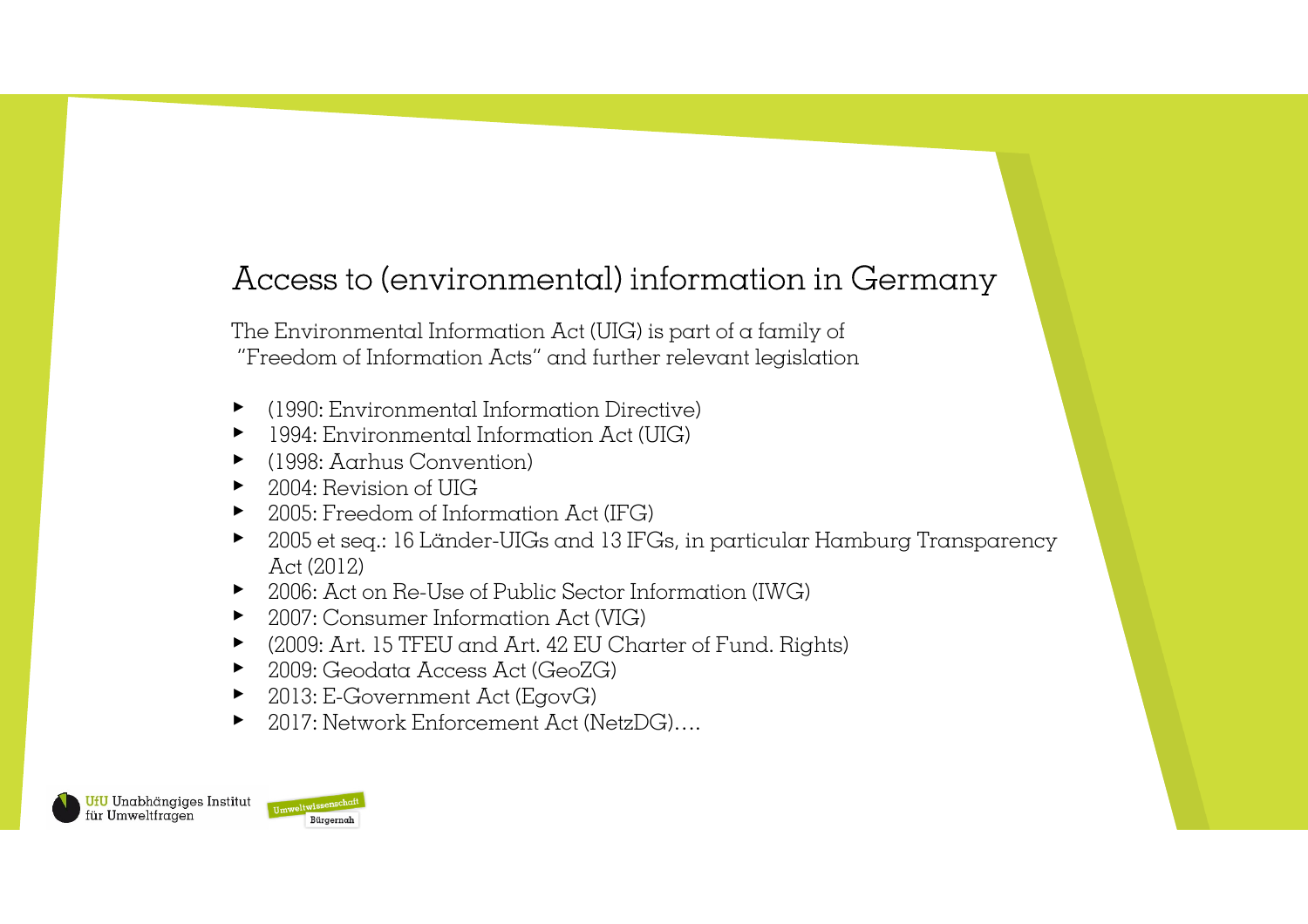## Access to (environmental) information in Germany

The Environmental Information Act (UIG) is part of a family of"Freedom of Information Acts" and further relevant legislation

- ▸(1990: Environmental Information Directive)
- ▸ 1994: Environmental Information Act (UIG)
- ▸ (1998: Aarhus Convention)
- ▸ 2004: Revision of UIG
- ▸ 2005: Freedom of Information Act (IFG)
- ▸ 2005 et seq.: 16 Länder-UIGs and 13 IFGs, in particular Hamburg Transparency Act (2012)
- ▸ 2006: Act on Re-Use of Public Sector Information (IWG)
- ▸ 2007: Consumer Information Act (VIG)
- ▸ (2009: Art. 15 TFEU and Art. 42 EU Charter of Fund. Rights)
- ▸ 2009: Geodata Access Act (GeoZG)
- ▸ 2013: E-Government Act (EgovG)
- ▸ 2017: Network Enforcement Act (NetzDG)….

**UfU** Unabhängiges Institut für Umweltfragen

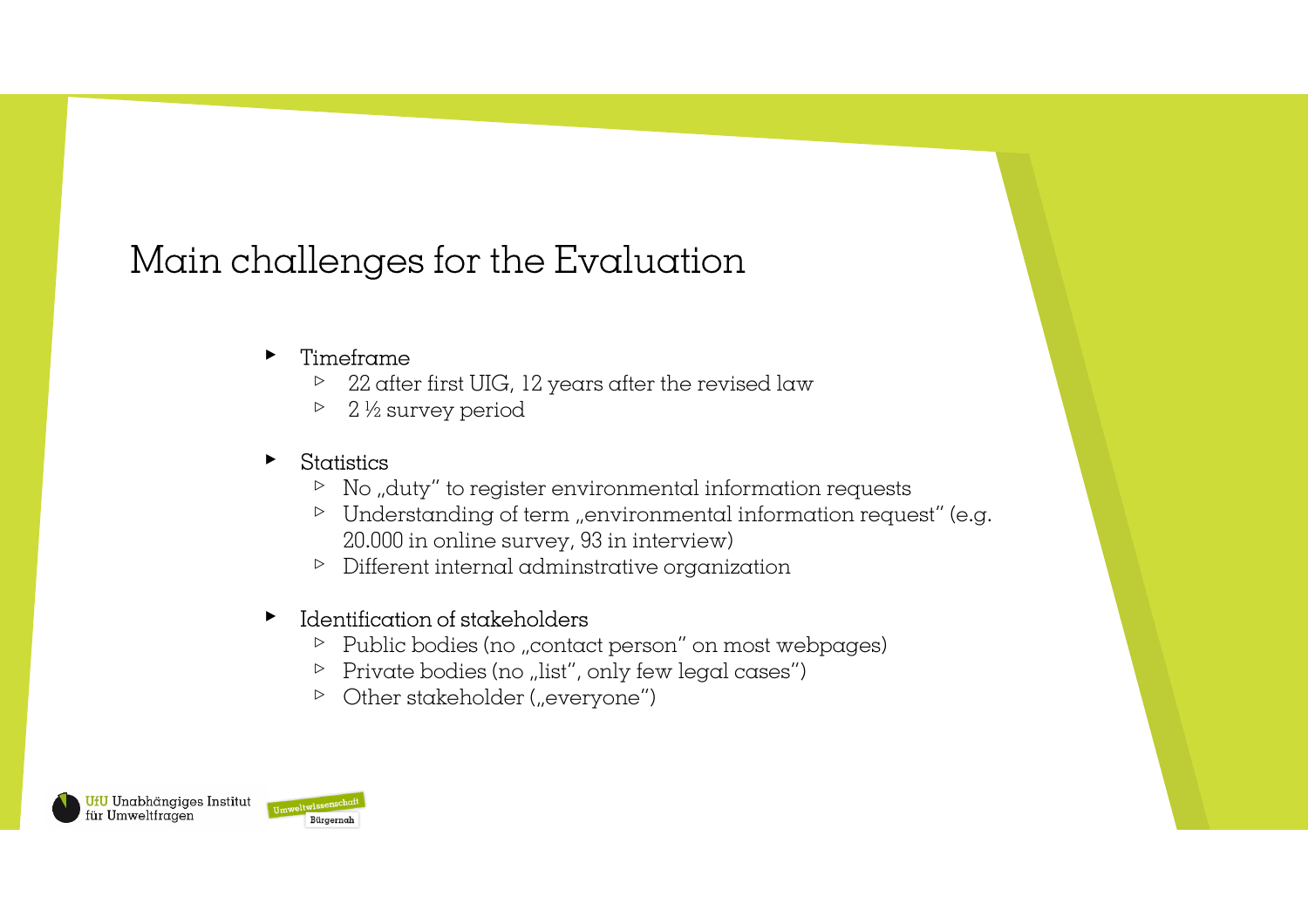# Main challenges for the Evaluation

#### ▸Timeframe

- $\triangleright$  22 after first UIG, 12 years after the revised law
- $\triangleright$ 2 ½ survey period

#### ▸Statistics

- $\triangleright$  No "duty" to register environmental information requests
- $\triangleright$  Understanding of term "environmental information request" (e.g. 20.000 in online survey, 93 in interview)
- ▹ Different internal adminstrative organization

### ▸ Identification of stakeholders

- ▷ Public bodies (no "contact person" on most webpages)
- $\triangleright$  Private bodies (no "list", only few legal cases")
- $\triangleright$  Other stakeholder ("everyone")

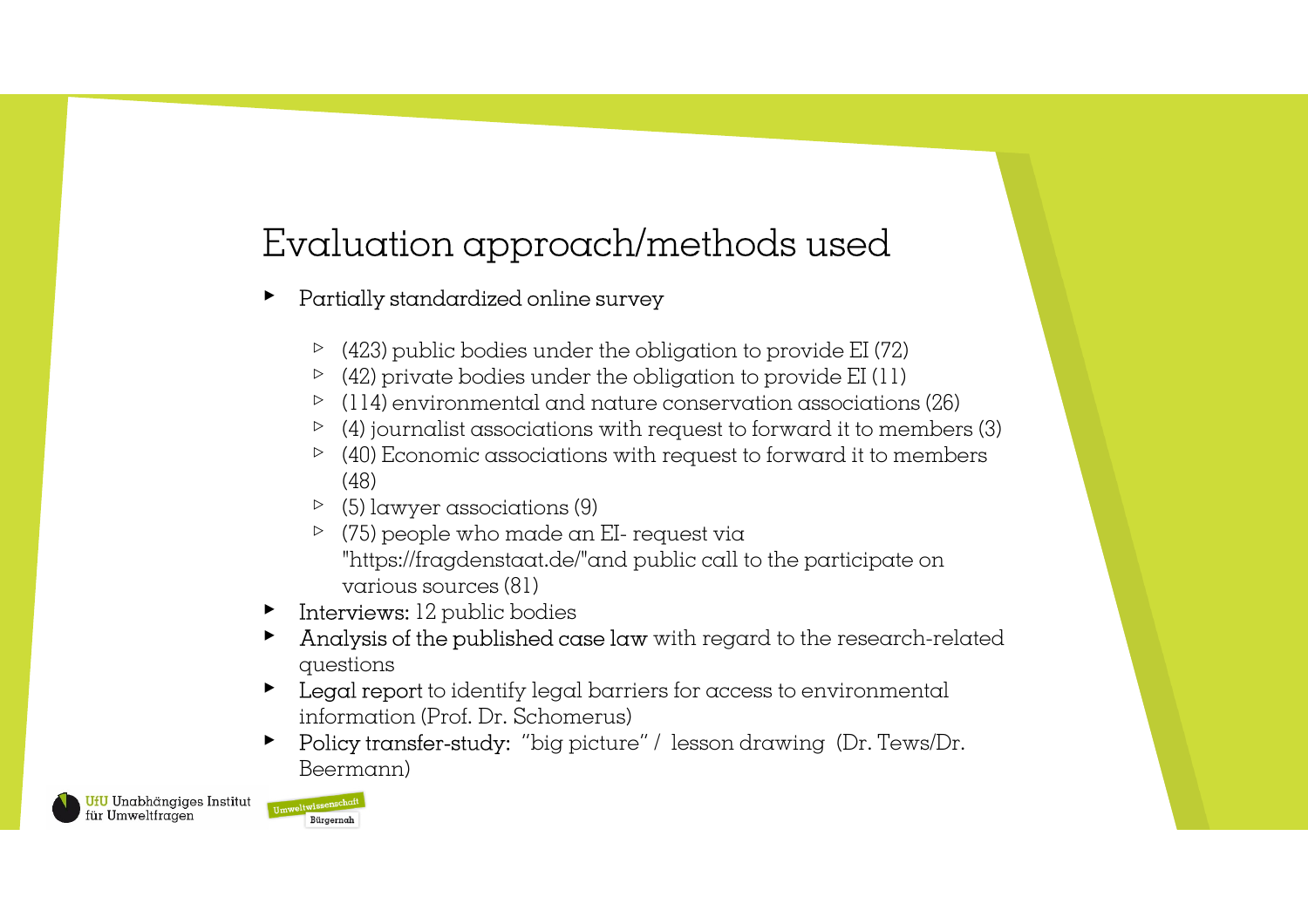## Evaluation approach/methods used

#### ▸Partially standardized online survey

- $\triangleright$  (423) public bodies under the obligation to provide EI (72)
- $\triangleright$  (42) private bodies under the obligation to provide EI (11)
- ▹ (114) environmental and nature conservation associations (26)
- $\triangleright$  (4) journalist associations with request to forward it to members (3)
- $\triangleright$  (40) Economic associations with request to forward it to members (48)
- ▹ (5) lawyer associations (9)
- $\triangleright$  (75) people who made an EI- request via<br>" "https://fragdenstaat.de/"and public call to the participate on various sources (81)
- ▸ Interviews: 12 public bodies
- ▸ Analysis of the published case law with regard to the research-related questions
- ▸ Legal report to identify legal barriers for access to environmental information (Prof. Dr. Schomerus)
- ▸ Policy transfer-study: "big picture" / lesson drawing (Dr. Tews/Dr. Beermann)

UfU Unabhängiges Institut für Umweltfragen

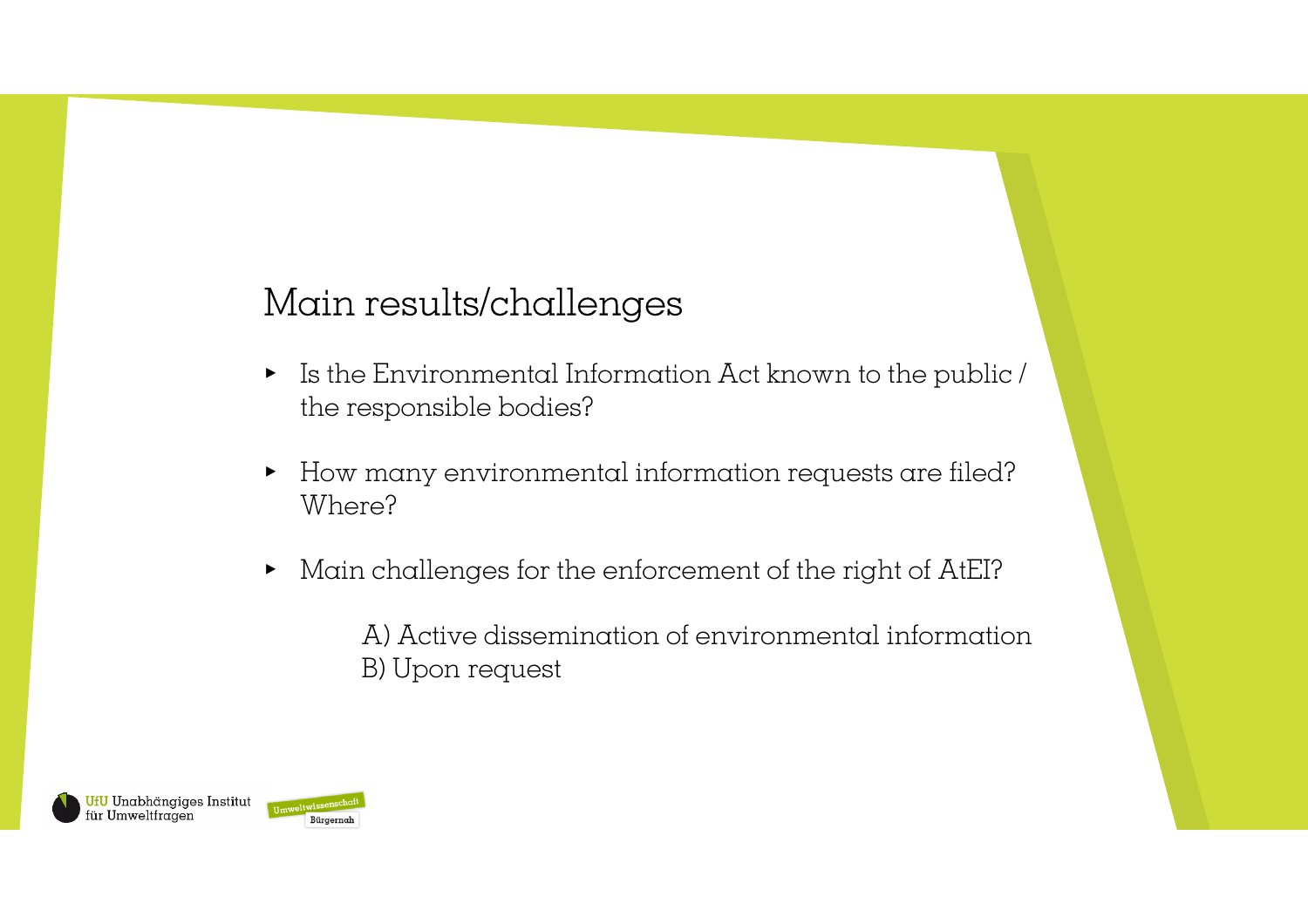## Main results/challenges

- ▸ Is the Environmental Information Act known to the public / the responsible bodies?
- ▸ How many environmental information requests are filed? Where?
- ▸ Main challenges for the enforcement of the right of AtEI?

A) Active dissemination of environmental informationB) Upon request

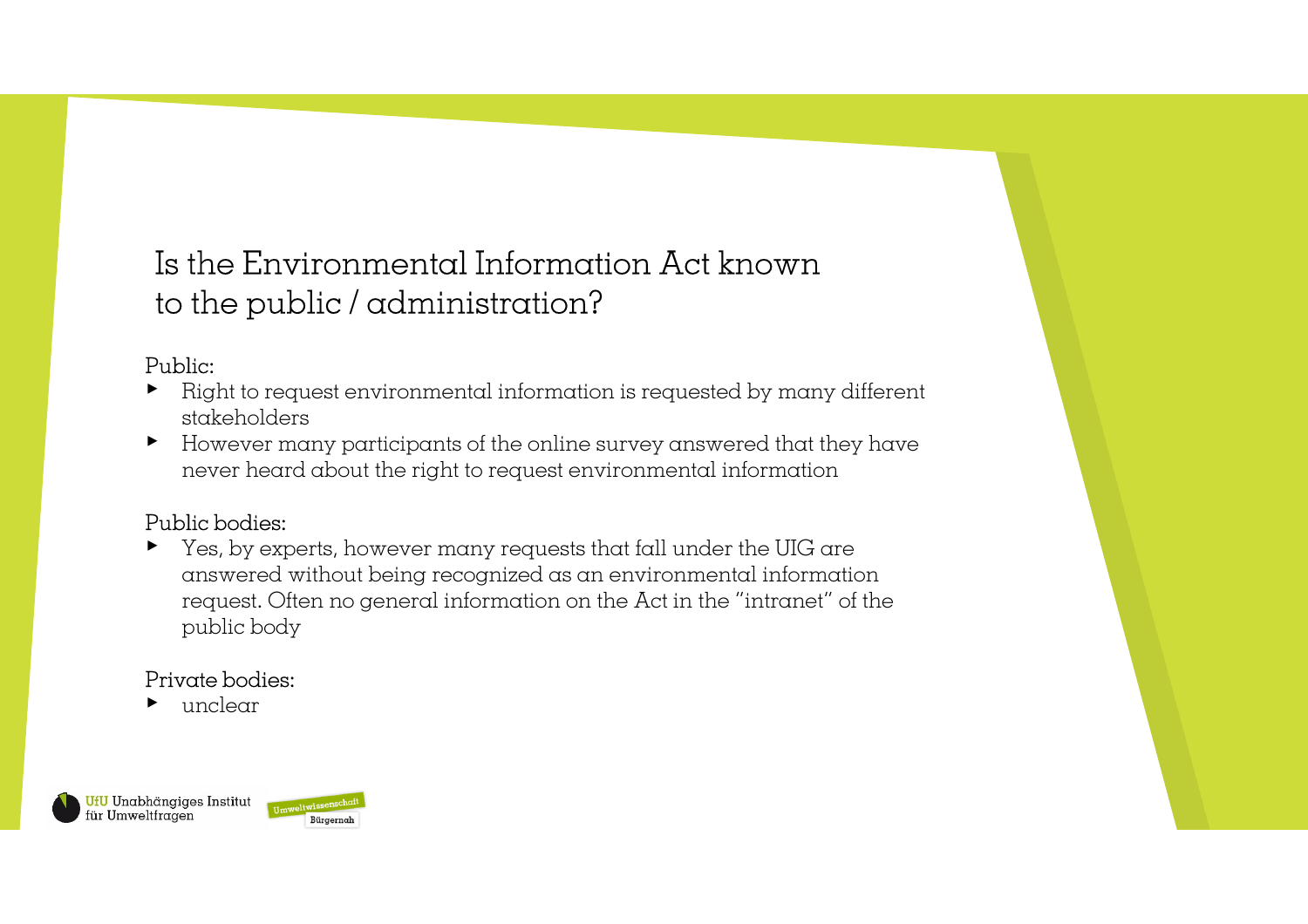## Is the Environmental Information Act known to the public / administration?

#### Public:

- ▸ Right to request environmental information is requested by many different stakeholders
- However many participants of the online survey answered that they have ▸never heard about the right to request environmental information

#### Public bodies:

▸ Yes, by experts, however many requests that fall under the UIG are answered without being recognized as an environmental information request. Often no general information on the Act in the "intranet" of the public body

### Private bodies:

▸unclear

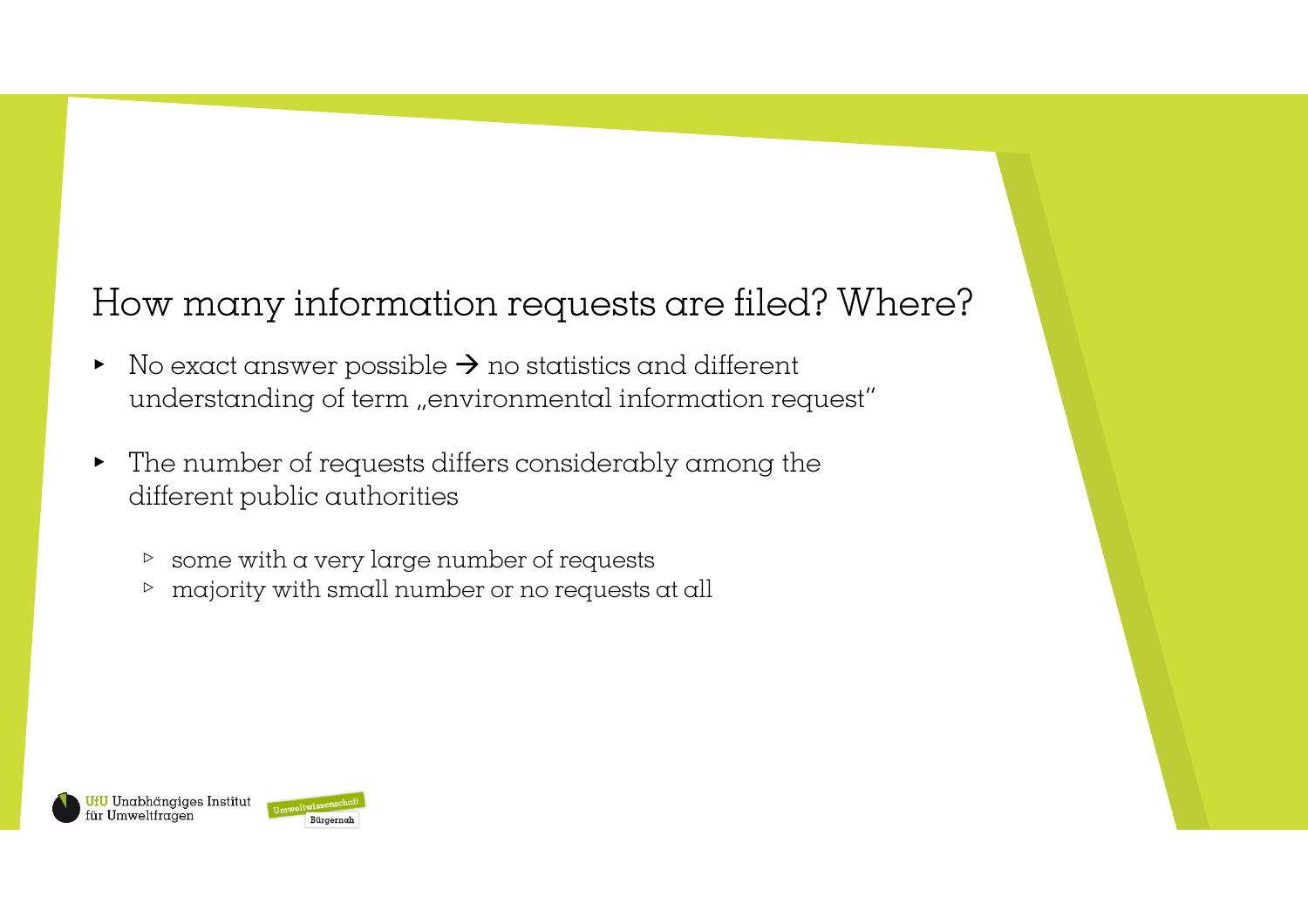# How many information requests are filed? Where?

- ▸ $\triangleright$  No exact answer possible  $\rightarrow$  no statistics and different<br>understanding of term, environmental information rec understanding of term "environmental information request"
- ▸ The number of requests differs considerably among thedifferent public authorities
	- $\triangleright$  some with a very large number of requests
	- $\,>\,$ majority with small number or no requests at all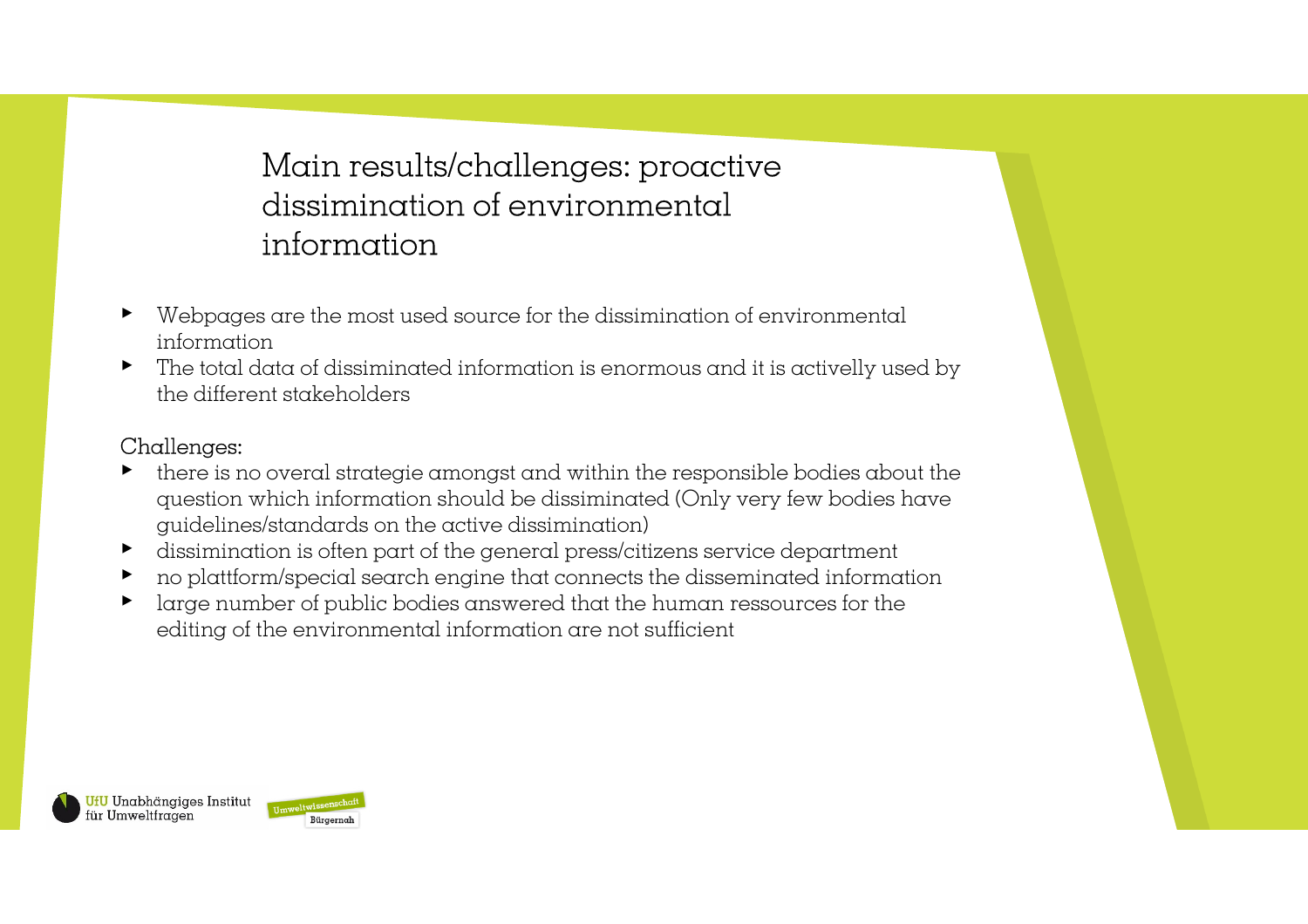### Main results/challenges: proactivedissimination of environmental information

- ▸ Webpages are the most used source for the dissimination of environmental information
- ▸ The total data of dissiminated information is enormous and it is activelly used by the different stakeholders

### Challenges:

- ▸ there is no overal strategie amongst and within the responsible bodies about the question which information should be dissiminated (Only very few bodies haveguidelines/standards on the active dissimination)
- ▸dissimination is often part of the general press/citizens service department
- ▸no plattform/special search engine that connects the disseminated information
- ▸ large number of public bodies answered that the human ressources for the editing of the environmental information are not sufficient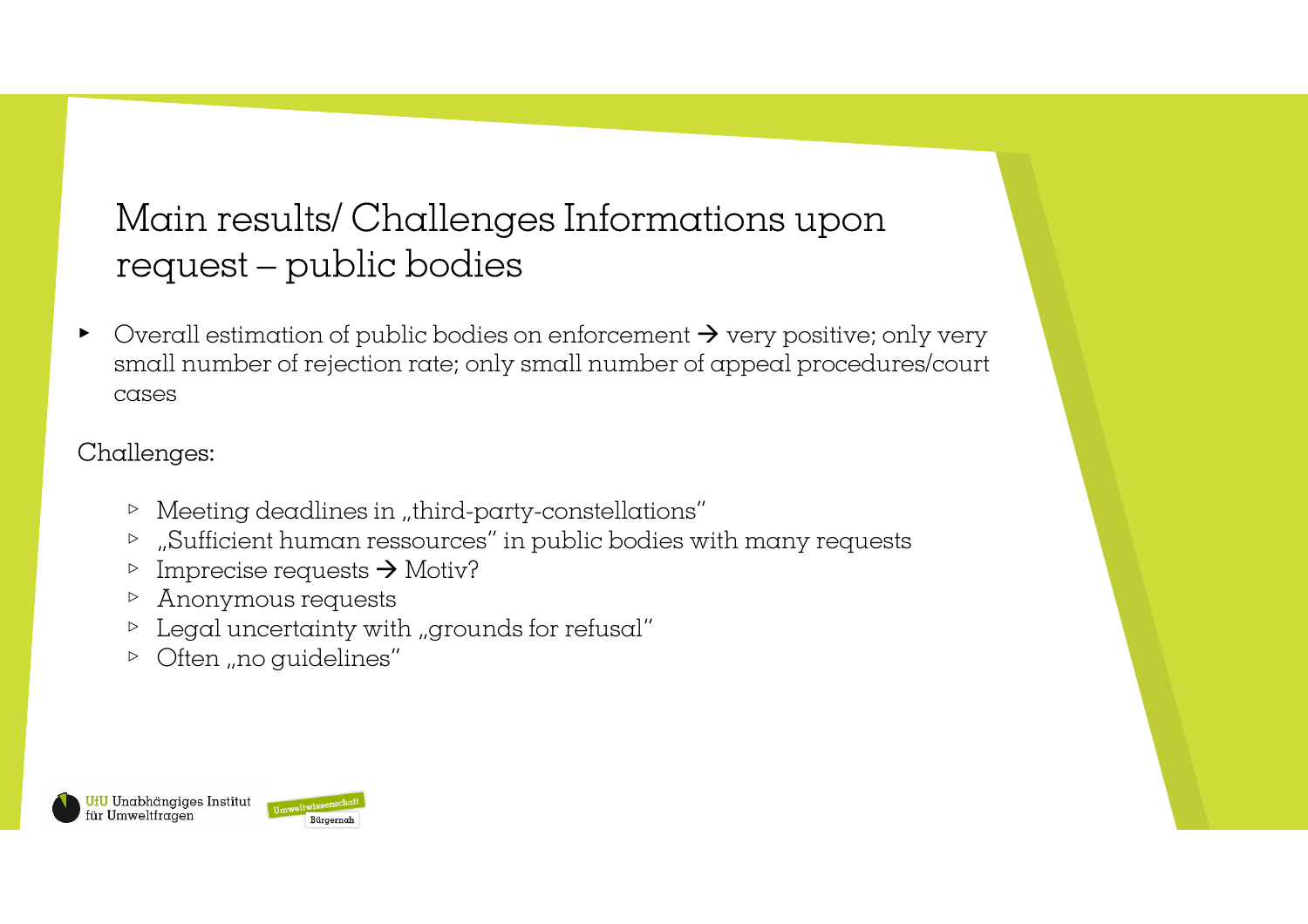## Main results/ Challenges Informations upon request – public bodies

▸ $\triangleright$  Overall estimation of public bodies on enforcement  $\rightarrow$  very positive; only very small number of rejection rate; only small number of appeal procedures/court small number of rejection rate; only small number of appeal procedures/courtcases

### Challenges:

- $\triangleright$  Meeting deadlines in "third-party-constellations"
- $\triangleright$  , Sufficient human ressources" in public bodies with many requests
- $\triangleright$  Imprecise requests  $\rightarrow$  Motiv?<br> $\triangleright$  Anonymous requests
- ▹ Anonymous requests
- $\triangleright$  Legal uncertainty with "grounds for refusal"
- $\triangleright$  Often "no guidelines"

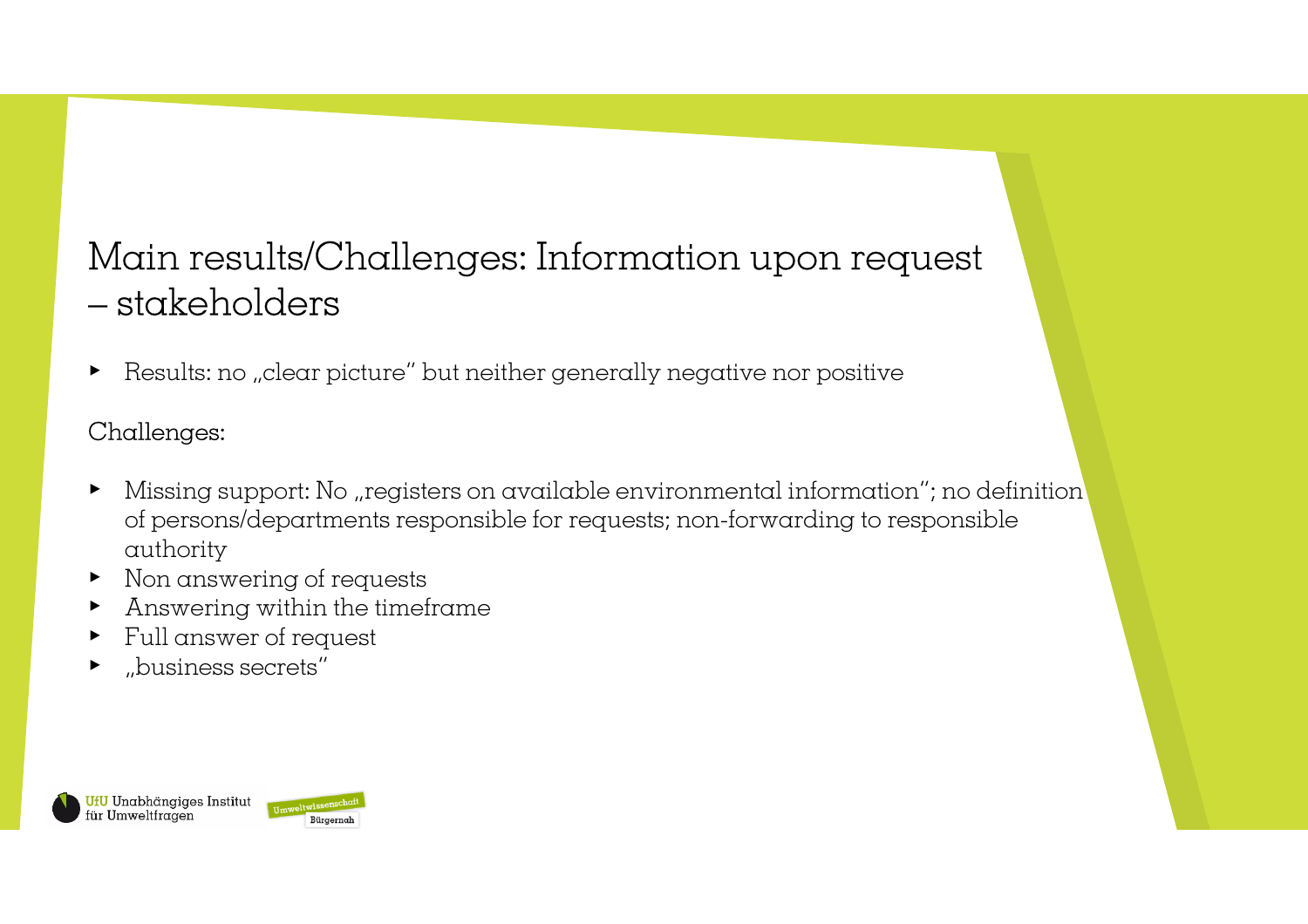## Main results/Challenges: Information upon request $-$  stakeholders

▸Results: no "clear picture" but neither generally negative nor positive

### Challenges:

- ▸Missing support: No "registers on available environmental information"; no definition of persons/departments responsible for requests; non-forwarding to responsibleauthority
- ▸ Non answering of requests
- ▸ Answering within the timeframe
- ▸ Full answer of request
- ▸"business secrets"